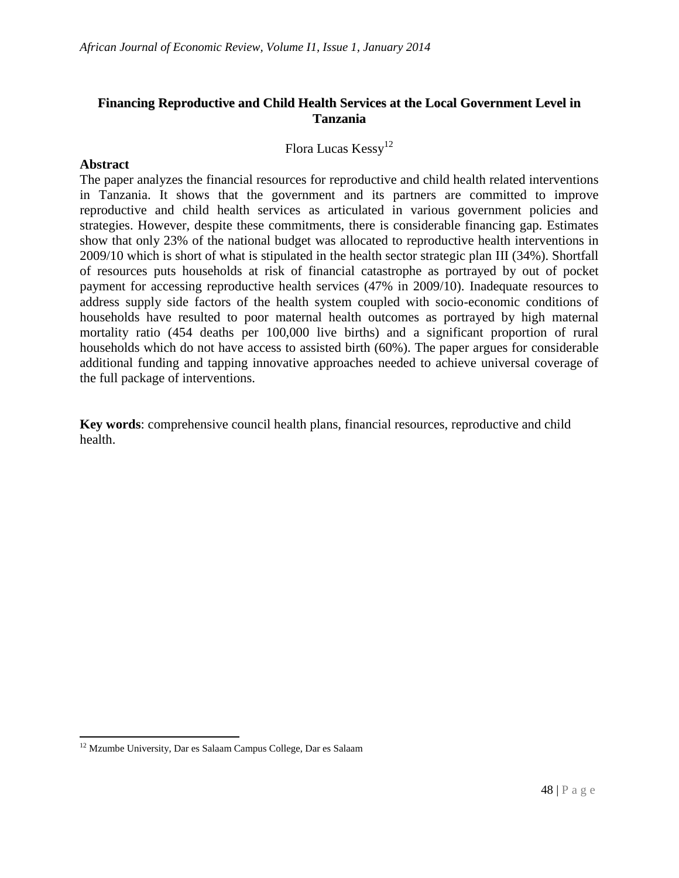# **Financing Reproductive and Child Health Services at the Local Government Level in Tanzania**

Flora Lucas Kessy<sup>12</sup>

### **Abstract**

 $\overline{a}$ 

The paper analyzes the financial resources for reproductive and child health related interventions in Tanzania. It shows that the government and its partners are committed to improve reproductive and child health services as articulated in various government policies and strategies. However, despite these commitments, there is considerable financing gap. Estimates show that only 23% of the national budget was allocated to reproductive health interventions in 2009/10 which is short of what is stipulated in the health sector strategic plan III (34%). Shortfall of resources puts households at risk of financial catastrophe as portrayed by out of pocket payment for accessing reproductive health services (47% in 2009/10). Inadequate resources to address supply side factors of the health system coupled with socio-economic conditions of households have resulted to poor maternal health outcomes as portrayed by high maternal mortality ratio (454 deaths per 100,000 live births) and a significant proportion of rural households which do not have access to assisted birth (60%). The paper argues for considerable additional funding and tapping innovative approaches needed to achieve universal coverage of the full package of interventions.

**Key words**: comprehensive council health plans, financial resources, reproductive and child health.

<sup>12</sup> Mzumbe University, Dar es Salaam Campus College, Dar es Salaam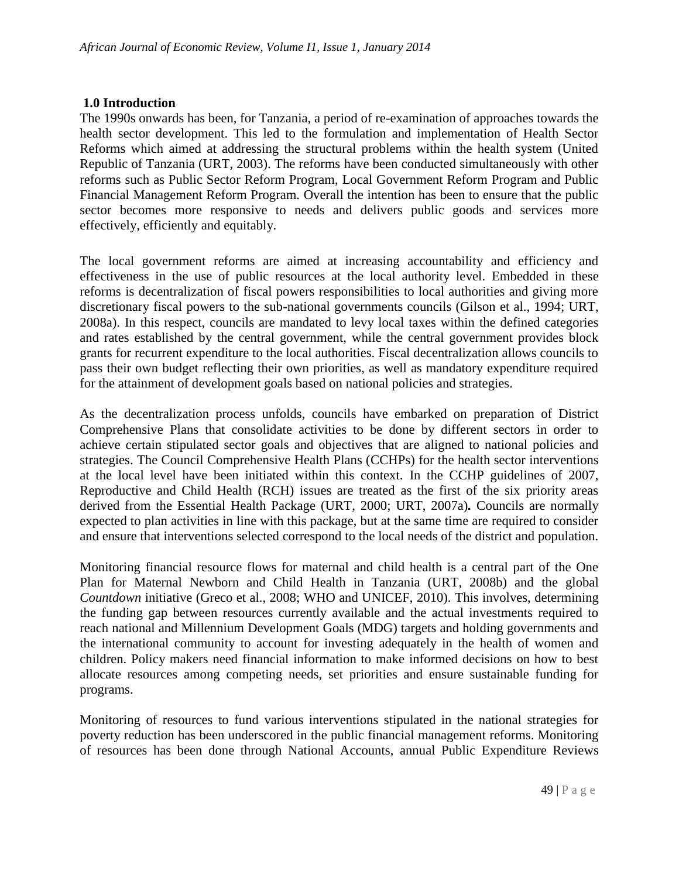#### **1.0 Introduction**

The 1990s onwards has been, for Tanzania, a period of re-examination of approaches towards the health sector development. This led to the formulation and implementation of Health Sector Reforms which aimed at addressing the structural problems within the health system (United Republic of Tanzania (URT, 2003). The reforms have been conducted simultaneously with other reforms such as Public Sector Reform Program, Local Government Reform Program and Public Financial Management Reform Program. Overall the intention has been to ensure that the public sector becomes more responsive to needs and delivers public goods and services more effectively, efficiently and equitably.

The local government reforms are aimed at increasing accountability and efficiency and effectiveness in the use of public resources at the local authority level. Embedded in these reforms is decentralization of fiscal powers responsibilities to local authorities and giving more discretionary fiscal powers to the sub-national governments councils (Gilson et al., 1994; URT, 2008a). In this respect, councils are mandated to levy local taxes within the defined categories and rates established by the central government, while the central government provides block grants for recurrent expenditure to the local authorities. Fiscal decentralization allows councils to pass their own budget reflecting their own priorities, as well as mandatory expenditure required for the attainment of development goals based on national policies and strategies.

As the decentralization process unfolds, councils have embarked on preparation of District Comprehensive Plans that consolidate activities to be done by different sectors in order to achieve certain stipulated sector goals and objectives that are aligned to national policies and strategies. The Council Comprehensive Health Plans (CCHPs) for the health sector interventions at the local level have been initiated within this context. In the CCHP guidelines of 2007, Reproductive and Child Health (RCH) issues are treated as the first of the six priority areas derived from the Essential Health Package (URT, 2000; URT, 2007a)*.* Councils are normally expected to plan activities in line with this package, but at the same time are required to consider and ensure that interventions selected correspond to the local needs of the district and population.

Monitoring financial resource flows for maternal and child health is a central part of the One Plan for Maternal Newborn and Child Health in Tanzania (URT, 2008b) and the global *Countdown* initiative (Greco et al., 2008; WHO and UNICEF, 2010). This involves, determining the funding gap between resources currently available and the actual investments required to reach national and Millennium Development Goals (MDG) targets and holding governments and the international community to account for investing adequately in the health of women and children. Policy makers need financial information to make informed decisions on how to best allocate resources among competing needs, set priorities and ensure sustainable funding for programs.

Monitoring of resources to fund various interventions stipulated in the national strategies for poverty reduction has been underscored in the public financial management reforms. Monitoring of resources has been done through National Accounts, annual Public Expenditure Reviews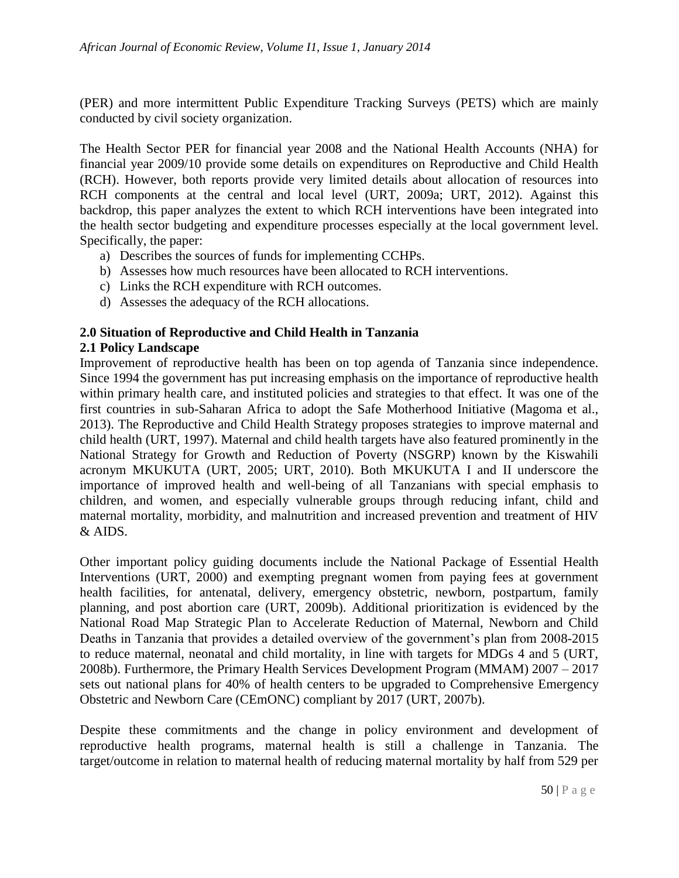(PER) and more intermittent Public Expenditure Tracking Surveys (PETS) which are mainly conducted by civil society organization.

The Health Sector PER for financial year 2008 and the National Health Accounts (NHA) for financial year 2009/10 provide some details on expenditures on Reproductive and Child Health (RCH). However, both reports provide very limited details about allocation of resources into RCH components at the central and local level (URT, 2009a; URT, 2012). Against this backdrop, this paper analyzes the extent to which RCH interventions have been integrated into the health sector budgeting and expenditure processes especially at the local government level. Specifically, the paper:

- a) Describes the sources of funds for implementing CCHPs.
- b) Assesses how much resources have been allocated to RCH interventions.
- c) Links the RCH expenditure with RCH outcomes.
- d) Assesses the adequacy of the RCH allocations.

# **2.0 Situation of Reproductive and Child Health in Tanzania**

# **2.1 Policy Landscape**

Improvement of reproductive health has been on top agenda of Tanzania since independence. Since 1994 the government has put increasing emphasis on the importance of reproductive health within primary health care, and instituted policies and strategies to that effect. It was one of the first countries in sub-Saharan Africa to adopt the Safe Motherhood Initiative (Magoma et al., 2013). The Reproductive and Child Health Strategy proposes strategies to improve maternal and child health (URT, 1997). Maternal and child health targets have also featured prominently in the National Strategy for Growth and Reduction of Poverty (NSGRP) known by the Kiswahili acronym MKUKUTA (URT, 2005; URT, 2010). Both MKUKUTA I and II underscore the importance of improved health and well-being of all Tanzanians with special emphasis to children, and women, and especially vulnerable groups through reducing infant, child and maternal mortality, morbidity, and malnutrition and increased prevention and treatment of HIV & AIDS.

Other important policy guiding documents include the National Package of Essential Health Interventions (URT, 2000) and exempting pregnant women from paying fees at government health facilities, for antenatal, delivery, emergency obstetric, newborn, postpartum, family planning, and post abortion care (URT, 2009b). Additional prioritization is evidenced by the National Road Map Strategic Plan to Accelerate Reduction of Maternal, Newborn and Child Deaths in Tanzania that provides a detailed overview of the government's plan from 2008-2015 to reduce maternal, neonatal and child mortality, in line with targets for MDGs 4 and 5 (URT, 2008b). Furthermore, the Primary Health Services Development Program (MMAM) 2007 – 2017 sets out national plans for 40% of health centers to be upgraded to Comprehensive Emergency Obstetric and Newborn Care (CEmONC) compliant by 2017 (URT, 2007b).

Despite these commitments and the change in policy environment and development of reproductive health programs, maternal health is still a challenge in Tanzania. The target/outcome in relation to maternal health of reducing maternal mortality by half from 529 per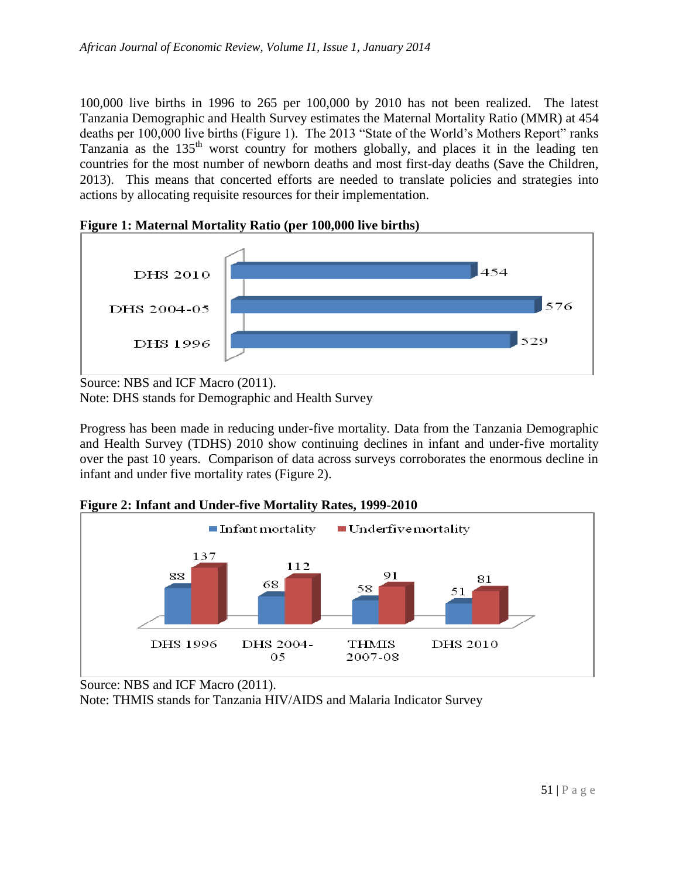100,000 live births in 1996 to 265 per 100,000 by 2010 has not been realized. The latest Tanzania Demographic and Health Survey estimates the Maternal Mortality Ratio (MMR) at 454 deaths per 100,000 live births (Figure 1). The 2013 "State of the World's Mothers Report" ranks Tanzania as the  $135<sup>th</sup>$  worst country for mothers globally, and places it in the leading ten countries for the most number of newborn deaths and most first-day deaths (Save the Children, 2013). This means that concerted efforts are needed to translate policies and strategies into actions by allocating requisite resources for their implementation.



**Figure 1: Maternal Mortality Ratio (per 100,000 live births)**

Source: NBS and ICF Macro (2011). Note: DHS stands for Demographic and Health Survey

Progress has been made in reducing under-five mortality. Data from the Tanzania Demographic and Health Survey (TDHS) 2010 show continuing declines in infant and under-five mortality over the past 10 years. Comparison of data across surveys corroborates the enormous decline in infant and under five mortality rates (Figure 2).

# **Figure 2: Infant and Under-five Mortality Rates, 1999-2010**



Source: NBS and ICF Macro (2011).

Note: THMIS stands for Tanzania HIV/AIDS and Malaria Indicator Survey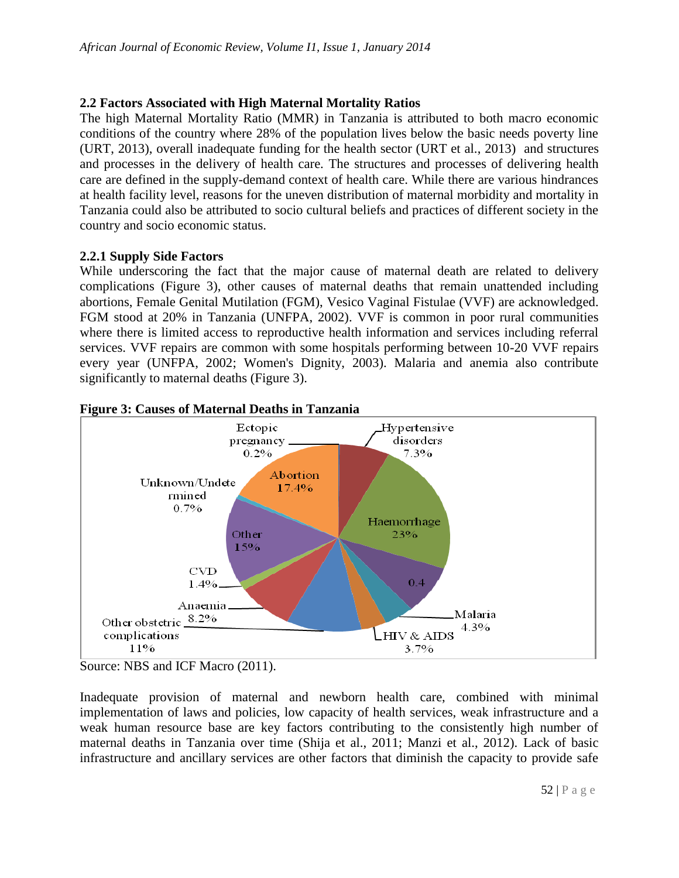# **2.2 Factors Associated with High Maternal Mortality Ratios**

The high Maternal Mortality Ratio (MMR) in Tanzania is attributed to both macro economic conditions of the country where 28% of the population lives below the basic needs poverty line (URT, 2013), overall inadequate funding for the health sector (URT et al., 2013) and structures and processes in the delivery of health care. The structures and processes of delivering health care are defined in the supply-demand context of health care. While there are various hindrances at health facility level, reasons for the uneven distribution of maternal morbidity and mortality in Tanzania could also be attributed to socio cultural beliefs and practices of different society in the country and socio economic status.

# **2.2.1 Supply Side Factors**

While underscoring the fact that the major cause of maternal death are related to delivery complications (Figure 3), other causes of maternal deaths that remain unattended including abortions, Female Genital Mutilation (FGM), Vesico Vaginal Fistulae (VVF) are acknowledged. FGM stood at 20% in Tanzania (UNFPA, 2002). VVF is common in poor rural communities where there is limited access to reproductive health information and services including referral services. VVF repairs are common with some hospitals performing between 10-20 VVF repairs every year (UNFPA, 2002; Women's Dignity, 2003). Malaria and anemia also contribute significantly to maternal deaths (Figure 3).



### **Figure 3: Causes of Maternal Deaths in Tanzania**

Inadequate provision of maternal and newborn health care, combined with minimal implementation of laws and policies, low capacity of health services, weak infrastructure and a weak human resource base are key factors contributing to the consistently high number of maternal deaths in Tanzania over time (Shija et al., 2011; Manzi et al., 2012). Lack of basic infrastructure and ancillary services are other factors that diminish the capacity to provide safe

Source: NBS and ICF Macro (2011).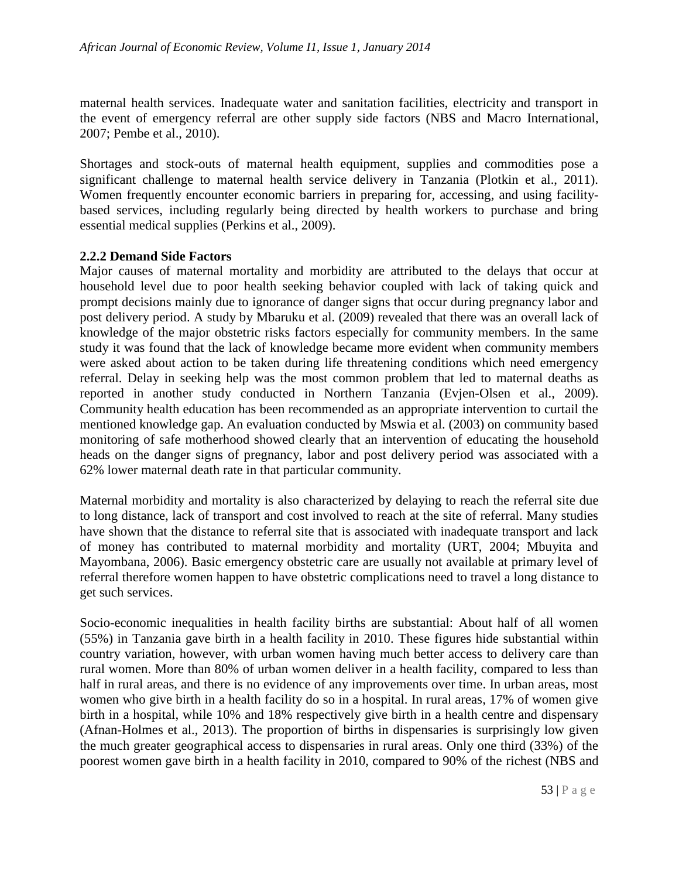maternal health services. Inadequate water and sanitation facilities, electricity and transport in the event of emergency referral are other supply side factors (NBS and Macro International, 2007; Pembe et al., 2010).

Shortages and stock-outs of maternal health equipment, supplies and commodities pose a significant challenge to maternal health service delivery in Tanzania (Plotkin et al., 2011). Women frequently encounter economic barriers in preparing for, accessing, and using facilitybased services, including regularly being directed by health workers to purchase and bring essential medical supplies (Perkins et al., 2009).

# **2.2.2 Demand Side Factors**

Major causes of maternal mortality and morbidity are attributed to the delays that occur at household level due to poor health seeking behavior coupled with lack of taking quick and prompt decisions mainly due to ignorance of danger signs that occur during pregnancy labor and post delivery period. A study by Mbaruku et al. (2009) revealed that there was an overall lack of knowledge of the major obstetric risks factors especially for community members. In the same study it was found that the lack of knowledge became more evident when community members were asked about action to be taken during life threatening conditions which need emergency referral. Delay in seeking help was the most common problem that led to maternal deaths as reported in another study conducted in Northern Tanzania (Evjen-Olsen et al., 2009). Community health education has been recommended as an appropriate intervention to curtail the mentioned knowledge gap. An evaluation conducted by Mswia et al. (2003) on community based monitoring of safe motherhood showed clearly that an intervention of educating the household heads on the danger signs of pregnancy, labor and post delivery period was associated with a 62% lower maternal death rate in that particular community.

Maternal morbidity and mortality is also characterized by delaying to reach the referral site due to long distance, lack of transport and cost involved to reach at the site of referral. Many studies have shown that the distance to referral site that is associated with inadequate transport and lack of money has contributed to maternal morbidity and mortality (URT, 2004; Mbuyita and Mayombana, 2006). Basic emergency obstetric care are usually not available at primary level of referral therefore women happen to have obstetric complications need to travel a long distance to get such services.

Socio-economic inequalities in health facility births are substantial: About half of all women (55%) in Tanzania gave birth in a health facility in 2010. These figures hide substantial within country variation, however, with urban women having much better access to delivery care than rural women. More than 80% of urban women deliver in a health facility, compared to less than half in rural areas, and there is no evidence of any improvements over time. In urban areas, most women who give birth in a health facility do so in a hospital. In rural areas, 17% of women give birth in a hospital, while 10% and 18% respectively give birth in a health centre and dispensary (Afnan-Holmes et al., 2013). The proportion of births in dispensaries is surprisingly low given the much greater geographical access to dispensaries in rural areas. Only one third (33%) of the poorest women gave birth in a health facility in 2010, compared to 90% of the richest (NBS and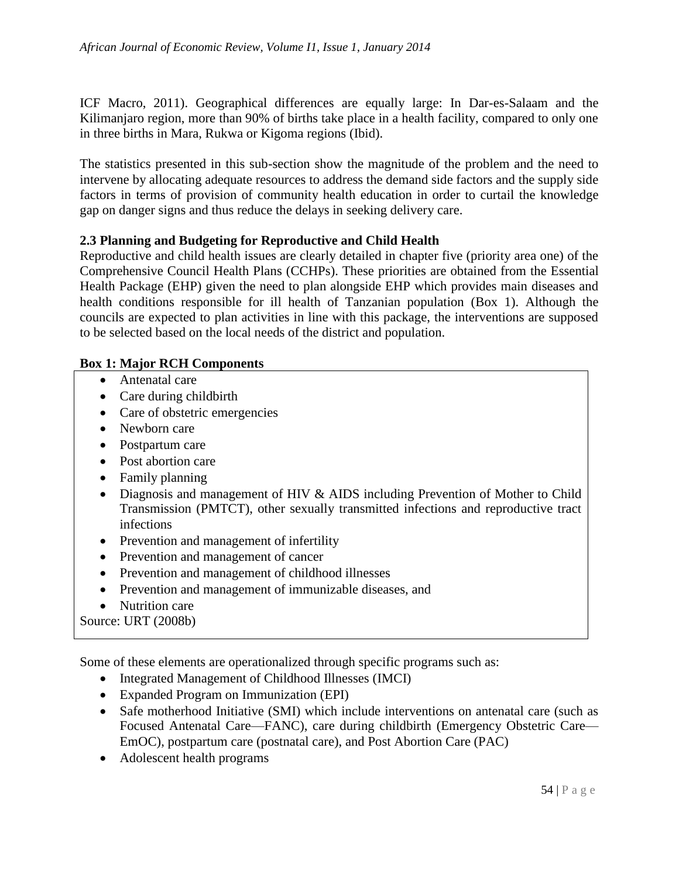ICF Macro, 2011). Geographical differences are equally large: In Dar-es-Salaam and the Kilimanjaro region, more than 90% of births take place in a health facility, compared to only one in three births in Mara, Rukwa or Kigoma regions (Ibid).

The statistics presented in this sub-section show the magnitude of the problem and the need to intervene by allocating adequate resources to address the demand side factors and the supply side factors in terms of provision of community health education in order to curtail the knowledge gap on danger signs and thus reduce the delays in seeking delivery care.

### **2.3 Planning and Budgeting for Reproductive and Child Health**

Reproductive and child health issues are clearly detailed in chapter five (priority area one) of the Comprehensive Council Health Plans (CCHPs). These priorities are obtained from the Essential Health Package (EHP) given the need to plan alongside EHP which provides main diseases and health conditions responsible for ill health of Tanzanian population (Box 1). Although the councils are expected to plan activities in line with this package, the interventions are supposed to be selected based on the local needs of the district and population.

### **Box 1: Major RCH Components**

- Antenatal care
- Care during childbirth
- Care of obstetric emergencies
- Newborn care
- Postpartum care
- Post abortion care
- Family planning
- Diagnosis and management of HIV & AIDS including Prevention of Mother to Child Transmission (PMTCT), other sexually transmitted infections and reproductive tract infections
- Prevention and management of infertility
- Prevention and management of cancer
- Prevention and management of childhood illnesses
- Prevention and management of immunizable diseases, and
- Nutrition care

Source: URT (2008b)

Some of these elements are operationalized through specific programs such as:

- Integrated Management of Childhood Illnesses (IMCI)
- Expanded Program on Immunization (EPI)
- Safe motherhood Initiative (SMI) which include interventions on antenatal care (such as Focused Antenatal Care—FANC), care during childbirth (Emergency Obstetric Care— EmOC), postpartum care (postnatal care), and Post Abortion Care (PAC)
- Adolescent health programs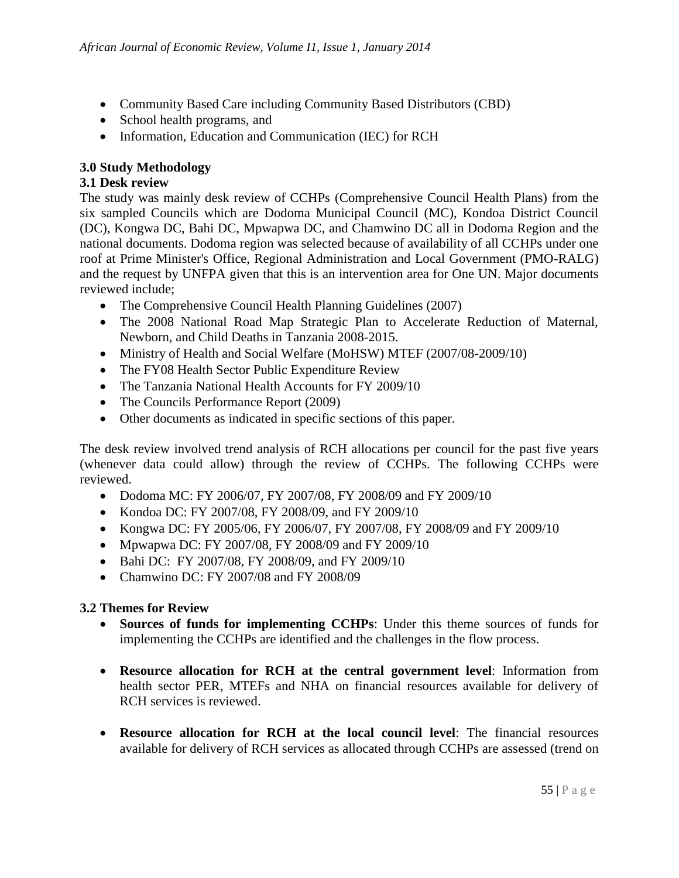- Community Based Care including Community Based Distributors (CBD)
- School health programs, and
- Information, Education and Communication (IEC) for RCH

# **3.0 Study Methodology**

# **3.1 Desk review**

The study was mainly desk review of CCHPs (Comprehensive Council Health Plans) from the six sampled Councils which are Dodoma Municipal Council (MC), Kondoa District Council (DC), Kongwa DC, Bahi DC, Mpwapwa DC, and Chamwino DC all in Dodoma Region and the national documents. Dodoma region was selected because of availability of all CCHPs under one roof at Prime Minister's Office, Regional Administration and Local Government (PMO-RALG) and the request by UNFPA given that this is an intervention area for One UN. Major documents reviewed include;

- The Comprehensive Council Health Planning Guidelines (2007)
- The 2008 National Road Map Strategic Plan to Accelerate Reduction of Maternal, Newborn, and Child Deaths in Tanzania 2008-2015.
- Ministry of Health and Social Welfare (MoHSW) MTEF (2007/08-2009/10)
- The FY08 Health Sector Public Expenditure Review
- The Tanzania National Health Accounts for FY 2009/10
- The Councils Performance Report (2009)
- Other documents as indicated in specific sections of this paper.

The desk review involved trend analysis of RCH allocations per council for the past five years (whenever data could allow) through the review of CCHPs. The following CCHPs were reviewed.

- Dodoma MC: FY 2006/07, FY 2007/08, FY 2008/09 and FY 2009/10
- Kondoa DC: FY 2007/08, FY 2008/09, and FY 2009/10
- Kongwa DC: FY 2005/06, FY 2006/07, FY 2007/08, FY 2008/09 and FY 2009/10
- Mpwapwa DC: FY 2007/08, FY 2008/09 and FY 2009/10
- Bahi DC: FY 2007/08, FY 2008/09, and FY 2009/10
- Chamwino DC: FY 2007/08 and FY 2008/09

# **3.2 Themes for Review**

- **Sources of funds for implementing CCHPs**: Under this theme sources of funds for implementing the CCHPs are identified and the challenges in the flow process.
- **Resource allocation for RCH at the central government level**: Information from health sector PER, MTEFs and NHA on financial resources available for delivery of RCH services is reviewed.
- **Resource allocation for RCH at the local council level**: The financial resources available for delivery of RCH services as allocated through CCHPs are assessed (trend on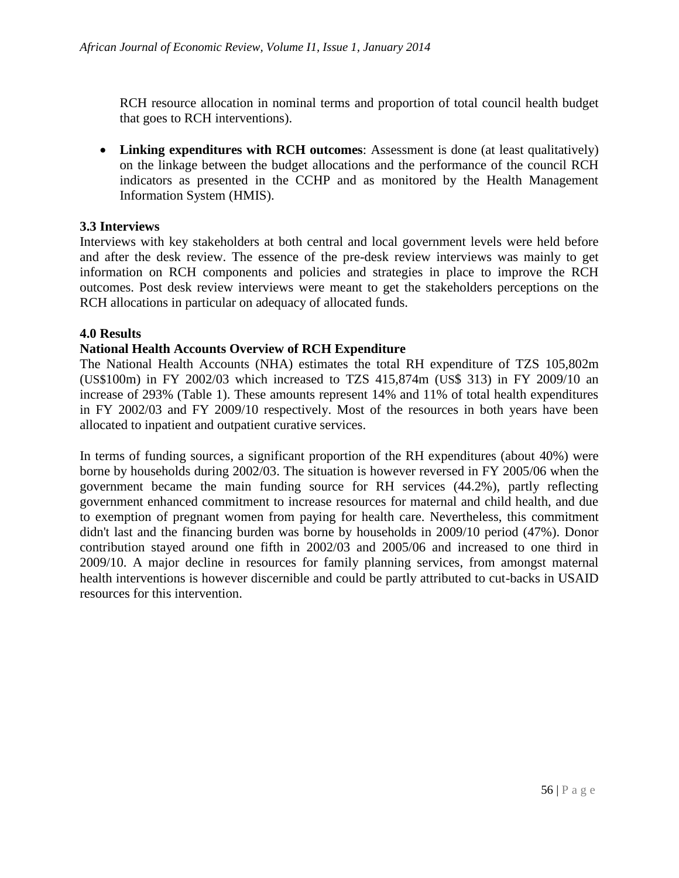RCH resource allocation in nominal terms and proportion of total council health budget that goes to RCH interventions).

 **Linking expenditures with RCH outcomes**: Assessment is done (at least qualitatively) on the linkage between the budget allocations and the performance of the council RCH indicators as presented in the CCHP and as monitored by the Health Management Information System (HMIS).

# **3.3 Interviews**

Interviews with key stakeholders at both central and local government levels were held before and after the desk review. The essence of the pre-desk review interviews was mainly to get information on RCH components and policies and strategies in place to improve the RCH outcomes. Post desk review interviews were meant to get the stakeholders perceptions on the RCH allocations in particular on adequacy of allocated funds.

#### **4.0 Results**

### **National Health Accounts Overview of RCH Expenditure**

The National Health Accounts (NHA) estimates the total RH expenditure of TZS 105,802m (US\$100m) in FY 2002/03 which increased to TZS 415,874m (US\$ 313) in FY 2009/10 an increase of 293% (Table 1). These amounts represent 14% and 11% of total health expenditures in FY 2002/03 and FY 2009/10 respectively. Most of the resources in both years have been allocated to inpatient and outpatient curative services.

In terms of funding sources, a significant proportion of the RH expenditures (about 40%) were borne by households during 2002/03. The situation is however reversed in FY 2005/06 when the government became the main funding source for RH services (44.2%), partly reflecting government enhanced commitment to increase resources for maternal and child health, and due to exemption of pregnant women from paying for health care. Nevertheless, this commitment didn't last and the financing burden was borne by households in 2009/10 period (47%). Donor contribution stayed around one fifth in 2002/03 and 2005/06 and increased to one third in 2009/10. A major decline in resources for family planning services, from amongst maternal health interventions is however discernible and could be partly attributed to cut-backs in USAID resources for this intervention.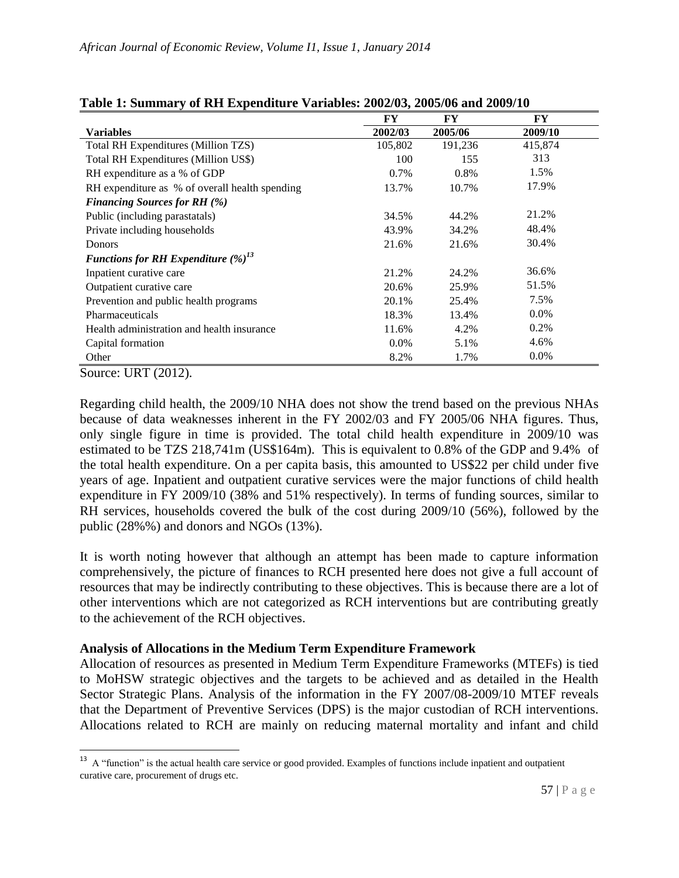|                                                | FY      | FY      | FY      |
|------------------------------------------------|---------|---------|---------|
| <b>Variables</b>                               | 2002/03 | 2005/06 | 2009/10 |
| Total RH Expenditures (Million TZS)            | 105,802 | 191,236 | 415,874 |
| Total RH Expenditures (Million US\$)           | 100     | 155     | 313     |
| RH expenditure as a % of GDP                   | 0.7%    | 0.8%    | 1.5%    |
| RH expenditure as % of overall health spending | 13.7%   | 10.7%   | 17.9%   |
| <b>Financing Sources for RH (%)</b>            |         |         |         |
| Public (including parastatals)                 | 34.5%   | 44.2%   | 21.2%   |
| Private including households                   | 43.9%   | 34.2%   | 48.4%   |
| <b>Donors</b>                                  | 21.6%   | 21.6%   | 30.4%   |
| Functions for RH Expenditure $(\%)^{13}$       |         |         |         |
| Inpatient curative care                        | 21.2%   | 24.2%   | 36.6%   |
| Outpatient curative care                       | 20.6%   | 25.9%   | 51.5%   |
| Prevention and public health programs          | 20.1%   | 25.4%   | 7.5%    |
| Pharmaceuticals                                | 18.3%   | 13.4%   | 0.0%    |
| Health administration and health insurance     | 11.6%   | 4.2%    | 0.2%    |
| Capital formation                              | $0.0\%$ | 5.1%    | 4.6%    |
| Other                                          | 8.2%    | 1.7%    | $0.0\%$ |
| TIDM(0.10)                                     |         |         |         |

#### **Table 1: Summary of RH Expenditure Variables: 2002/03, 2005/06 and 2009/10**

Source: URT (2012).

Regarding child health, the 2009/10 NHA does not show the trend based on the previous NHAs because of data weaknesses inherent in the FY 2002/03 and FY 2005/06 NHA figures. Thus, only single figure in time is provided. The total child health expenditure in 2009/10 was estimated to be TZS 218,741m (US\$164m). This is equivalent to 0.8% of the GDP and 9.4% of the total health expenditure. On a per capita basis, this amounted to US\$22 per child under five years of age. Inpatient and outpatient curative services were the major functions of child health expenditure in FY 2009/10 (38% and 51% respectively). In terms of funding sources, similar to RH services, households covered the bulk of the cost during 2009/10 (56%), followed by the public (28%%) and donors and NGOs (13%).

It is worth noting however that although an attempt has been made to capture information comprehensively, the picture of finances to RCH presented here does not give a full account of resources that may be indirectly contributing to these objectives. This is because there are a lot of other interventions which are not categorized as RCH interventions but are contributing greatly to the achievement of the RCH objectives.

#### **Analysis of Allocations in the Medium Term Expenditure Framework**

Allocation of resources as presented in Medium Term Expenditure Frameworks (MTEFs) is tied to MoHSW strategic objectives and the targets to be achieved and as detailed in the Health Sector Strategic Plans. Analysis of the information in the FY 2007/08-2009/10 MTEF reveals that the Department of Preventive Services (DPS) is the major custodian of RCH interventions. Allocations related to RCH are mainly on reducing maternal mortality and infant and child

<sup>&</sup>lt;sup>13</sup> A "function" is the actual health care service or good provided. Examples of functions include inpatient and outpatient curative care, procurement of drugs etc.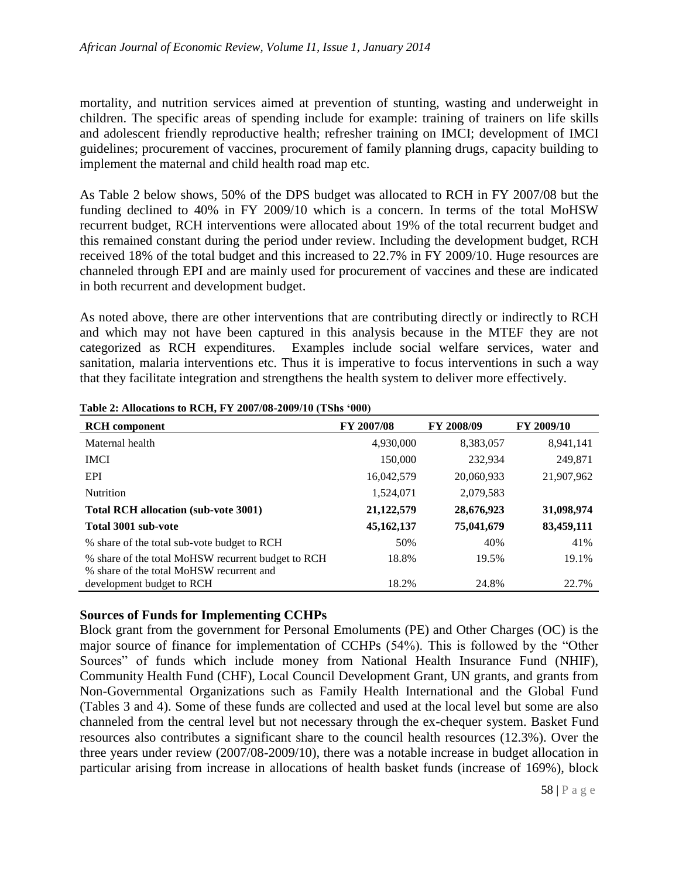mortality, and nutrition services aimed at prevention of stunting, wasting and underweight in children. The specific areas of spending include for example: training of trainers on life skills and adolescent friendly reproductive health; refresher training on IMCI; development of IMCI guidelines; procurement of vaccines, procurement of family planning drugs, capacity building to implement the maternal and child health road map etc.

As Table 2 below shows, 50% of the DPS budget was allocated to RCH in FY 2007/08 but the funding declined to 40% in FY 2009/10 which is a concern. In terms of the total MoHSW recurrent budget, RCH interventions were allocated about 19% of the total recurrent budget and this remained constant during the period under review. Including the development budget, RCH received 18% of the total budget and this increased to 22.7% in FY 2009/10. Huge resources are channeled through EPI and are mainly used for procurement of vaccines and these are indicated in both recurrent and development budget.

As noted above, there are other interventions that are contributing directly or indirectly to RCH and which may not have been captured in this analysis because in the MTEF they are not categorized as RCH expenditures. Examples include social welfare services, water and sanitation, malaria interventions etc. Thus it is imperative to focus interventions in such a way that they facilitate integration and strengthens the health system to deliver more effectively.

| <b>RCH</b> component                               | FY 2007/08 | FY 2008/09 | FY 2009/10 |
|----------------------------------------------------|------------|------------|------------|
| Maternal health                                    | 4,930,000  | 8,383,057  | 8,941,141  |
| <b>IMCI</b>                                        | 150,000    | 232,934    | 249,871    |
| EPI                                                | 16,042,579 | 20,060,933 | 21,907,962 |
| <b>Nutrition</b>                                   | 1,524,071  | 2,079,583  |            |
| <b>Total RCH allocation (sub-vote 3001)</b>        | 21,122,579 | 28,676,923 | 31,098,974 |
| Total 3001 sub-vote                                | 45,162,137 | 75,041,679 | 83,459,111 |
| % share of the total sub-vote budget to RCH        | 50%        | 40%        | 41%        |
| % share of the total MoHSW recurrent budget to RCH | 18.8%      | 19.5%      | 19.1%      |
| % share of the total MoHSW recurrent and           |            |            |            |
| development budget to RCH                          | 18.2%      | 24.8%      | 22.7%      |

**Table 2: Allocations to RCH, FY 2007/08-2009/10 (TShs '000)**

# **Sources of Funds for Implementing CCHPs**

Block grant from the government for Personal Emoluments (PE) and Other Charges (OC) is the major source of finance for implementation of CCHPs (54%). This is followed by the "Other Sources" of funds which include money from National Health Insurance Fund (NHIF), Community Health Fund (CHF), Local Council Development Grant, UN grants, and grants from Non-Governmental Organizations such as Family Health International and the Global Fund (Tables 3 and 4). Some of these funds are collected and used at the local level but some are also channeled from the central level but not necessary through the ex-chequer system. Basket Fund resources also contributes a significant share to the council health resources (12.3%). Over the three years under review (2007/08-2009/10), there was a notable increase in budget allocation in particular arising from increase in allocations of health basket funds (increase of 169%), block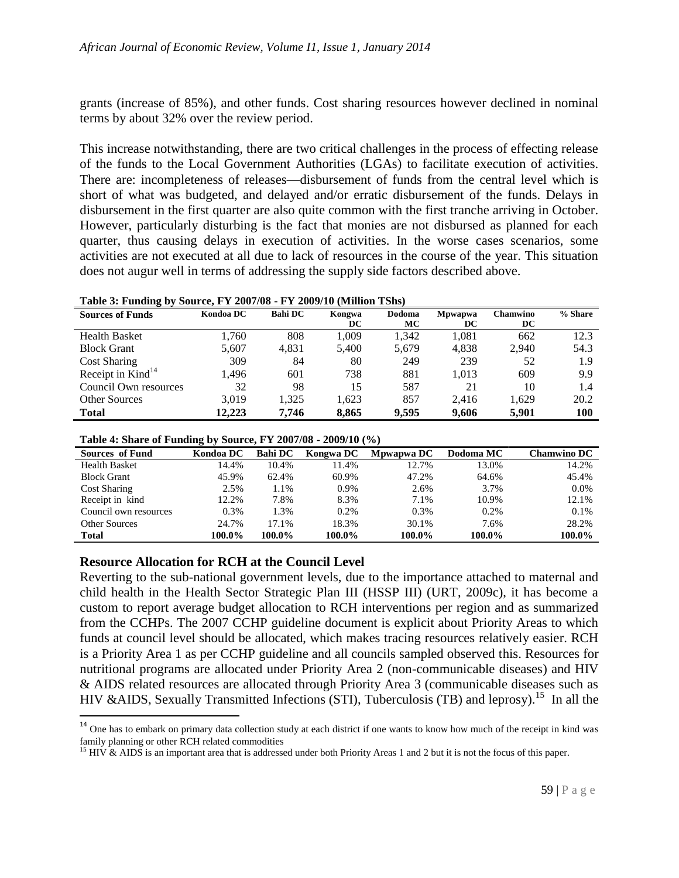grants (increase of 85%), and other funds. Cost sharing resources however declined in nominal terms by about 32% over the review period.

This increase notwithstanding, there are two critical challenges in the process of effecting release of the funds to the Local Government Authorities (LGAs) to facilitate execution of activities. There are: incompleteness of releases—disbursement of funds from the central level which is short of what was budgeted, and delayed and/or erratic disbursement of the funds. Delays in disbursement in the first quarter are also quite common with the first tranche arriving in October. However, particularly disturbing is the fact that monies are not disbursed as planned for each quarter, thus causing delays in execution of activities. In the worse cases scenarios, some activities are not executed at all due to lack of resources in the course of the year. This situation does not augur well in terms of addressing the supply side factors described above.

| <b>Sources of Funds</b>       | Kondoa DC | <b>Bahi DC</b> | Kongwa | Dodoma | <b>M</b> pwapwa | <b>Chamwino</b> | % Share |
|-------------------------------|-----------|----------------|--------|--------|-----------------|-----------------|---------|
|                               |           |                | DC     | МC     | DC              | $\overline{DC}$ |         |
| <b>Health Basket</b>          | 1,760     | 808            | 1,009  | 1.342  | 1,081           | 662             | 12.3    |
| <b>Block Grant</b>            | 5,607     | 4,831          | 5.400  | 5,679  | 4,838           | 2,940           | 54.3    |
| <b>Cost Sharing</b>           | 309       | 84             | 80     | 249    | 239             | 52              | 1.9     |
| Receipt in Kind <sup>14</sup> | 1.496     | 601            | 738    | 881    | 1.013           | 609             | 9.9     |
| Council Own resources         | 32        | 98             | 15     | 587    | 21              | 10              | 1.4     |
| <b>Other Sources</b>          | 3.019     | 1.325          | 1.623  | 857    | 2.416           | 1.629           | 20.2    |
| <b>Total</b>                  | 12.223    | 7.746          | 8,865  | 9.595  | 9.606           | 5,901           | 100     |

#### **Table 4: Share of Funding by Source, FY 2007/08 - 2009/10 (%)**

| <b>Sources of Fund</b> | Kondoa DC | <b>Bahi DC</b> | Kongwa DC | Mpwapwa DC | Dodoma MC | <b>Chamwino DC</b> |
|------------------------|-----------|----------------|-----------|------------|-----------|--------------------|
| <b>Health Basket</b>   | 14.4%     | 10.4%          | 11.4%     | 12.7%      | 13.0%     | 14.2%              |
| <b>Block Grant</b>     | 45.9%     | 62.4%          | 60.9%     | 47.2%      | 64.6%     | 45.4%              |
| <b>Cost Sharing</b>    | 2.5%      | 1.1%           | 0.9%      | 2.6%       | 3.7%      | $0.0\%$            |
| Receipt in kind        | 12.2%     | 7.8%           | 8.3%      | 7.1%       | 10.9%     | 12.1%              |
| Council own resources  | 0.3%      | .3%            | 0.2%      | 0.3%       | 0.2%      | 0.1%               |
| <b>Other Sources</b>   | 24.7%     | 17.1%          | 18.3%     | 30.1%      | 7.6%      | 28.2%              |
| <b>Total</b>           | 100.0%    | 100.0%         | 100.0%    | 100.0%     | 100.0%    | 100.0%             |

#### **Resource Allocation for RCH at the Council Level**

 $\overline{\phantom{a}}$ 

Reverting to the sub-national government levels, due to the importance attached to maternal and child health in the Health Sector Strategic Plan III (HSSP III) (URT, 2009c), it has become a custom to report average budget allocation to RCH interventions per region and as summarized from the CCHPs. The 2007 CCHP guideline document is explicit about Priority Areas to which funds at council level should be allocated, which makes tracing resources relatively easier. RCH is a Priority Area 1 as per CCHP guideline and all councils sampled observed this. Resources for nutritional programs are allocated under Priority Area 2 (non-communicable diseases) and HIV & AIDS related resources are allocated through Priority Area 3 (communicable diseases such as HIV & AIDS, Sexually Transmitted Infections (STI), Tuberculosis (TB) and leprosy).<sup>15</sup> In all the

<sup>&</sup>lt;sup>14</sup> One has to embark on primary data collection study at each district if one wants to know how much of the receipt in kind was family planning or other RCH related commodities

<sup>&</sup>lt;sup>15</sup> HIV & AIDS is an important area that is addressed under both Priority Areas 1 and 2 but it is not the focus of this paper.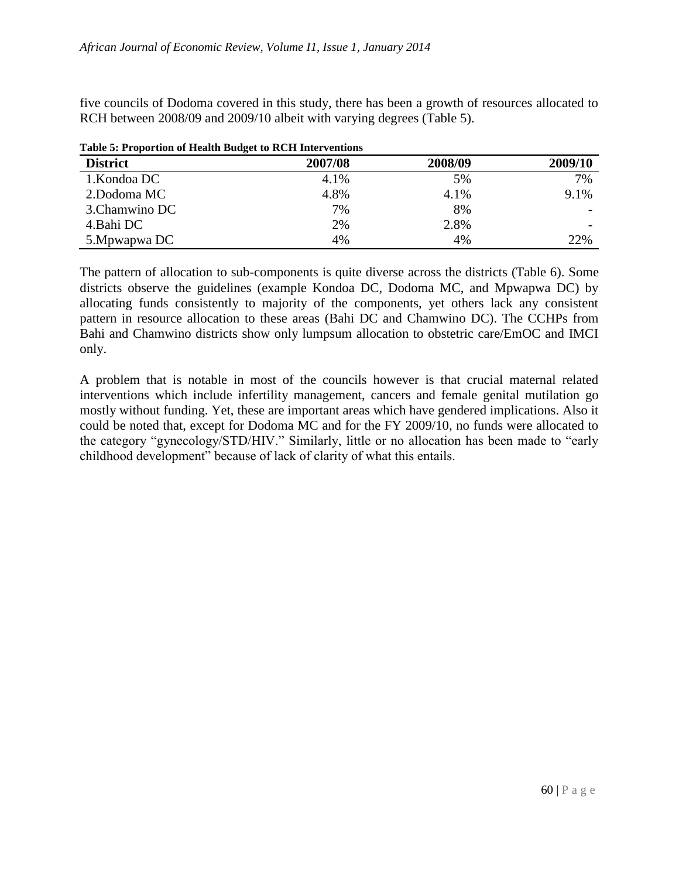five councils of Dodoma covered in this study, there has been a growth of resources allocated to RCH between 2008/09 and 2009/10 albeit with varying degrees (Table 5).

| <b>District</b> | 2007/08 | 2008/09 | 2009/10 |
|-----------------|---------|---------|---------|
| 1. Kondoa DC    | 4.1%    | 5%      | 7%      |
| 2.Dodoma MC     | 4.8%    | 4.1%    | 9.1%    |
| 3. Chamwino DC  | 7%      | 8%      |         |
| 4. Bahi DC      | 2%      | 2.8%    |         |
| 5. Mpwapwa DC   | 4%      | 4%      | 22%     |

**Table 5: Proportion of Health Budget to RCH Interventions**

The pattern of allocation to sub-components is quite diverse across the districts (Table 6). Some districts observe the guidelines (example Kondoa DC, Dodoma MC, and Mpwapwa DC) by allocating funds consistently to majority of the components, yet others lack any consistent pattern in resource allocation to these areas (Bahi DC and Chamwino DC). The CCHPs from Bahi and Chamwino districts show only lumpsum allocation to obstetric care/EmOC and IMCI only.

A problem that is notable in most of the councils however is that crucial maternal related interventions which include infertility management, cancers and female genital mutilation go mostly without funding. Yet, these are important areas which have gendered implications. Also it could be noted that, except for Dodoma MC and for the FY 2009/10, no funds were allocated to the category "gynecology/STD/HIV." Similarly, little or no allocation has been made to "early childhood development" because of lack of clarity of what this entails.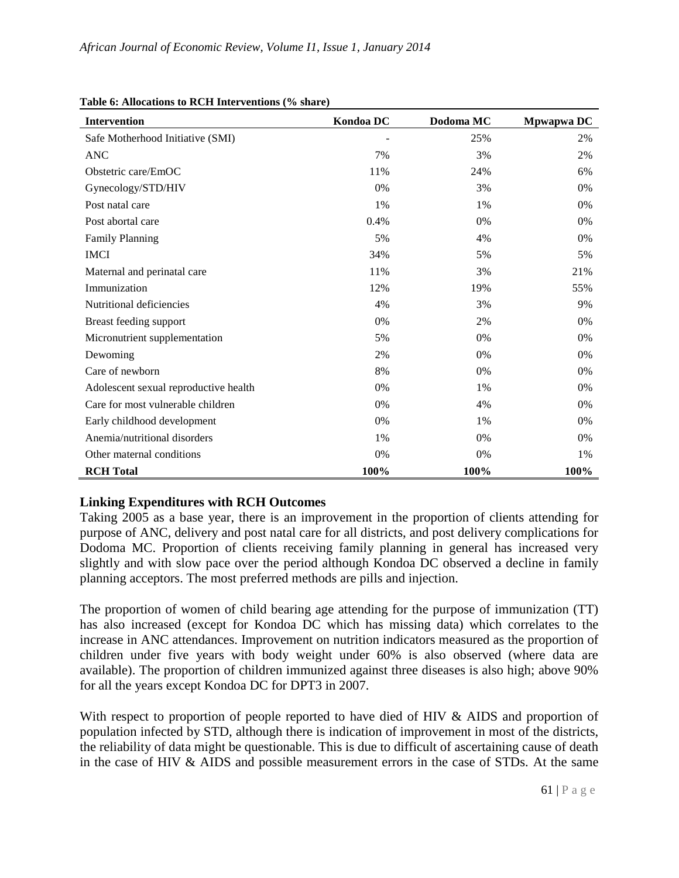| <b>Intervention</b>                   | Kondoa DC | Dodoma MC | Mpwapwa DC |
|---------------------------------------|-----------|-----------|------------|
| Safe Motherhood Initiative (SMI)      |           | 25%       | 2%         |
| <b>ANC</b>                            | 7%        | 3%        | 2%         |
| Obstetric care/EmOC                   | 11%       | 24%       | 6%         |
| Gynecology/STD/HIV                    | 0%        | 3%        | 0%         |
| Post natal care                       | 1%        | 1%        | 0%         |
| Post abortal care                     | 0.4%      | 0%        | $0\%$      |
| <b>Family Planning</b>                | 5%        | 4%        | 0%         |
| <b>IMCI</b>                           | 34%       | 5%        | 5%         |
| Maternal and perinatal care           | 11%       | 3%        | 21%        |
| Immunization                          | 12%       | 19%       | 55%        |
| Nutritional deficiencies              | 4%        | 3%        | 9%         |
| Breast feeding support                | 0%        | 2%        | 0%         |
| Micronutrient supplementation         | 5%        | 0%        | 0%         |
| Dewoming                              | 2%        | 0%        | 0%         |
| Care of newborn                       | 8%        | 0%        | $0\%$      |
| Adolescent sexual reproductive health | 0%        | 1%        | 0%         |
| Care for most vulnerable children     | 0%        | 4%        | $0\%$      |
| Early childhood development           | 0%        | 1%        | $0\%$      |
| Anemia/nutritional disorders          | 1%        | 0%        | 0%         |
| Other maternal conditions             | 0%        | 0%        | 1%         |
| <b>RCH</b> Total                      | 100%      | 100%      | 100%       |

**Table 6: Allocations to RCH Interventions (% share)**

#### **Linking Expenditures with RCH Outcomes**

Taking 2005 as a base year, there is an improvement in the proportion of clients attending for purpose of ANC, delivery and post natal care for all districts, and post delivery complications for Dodoma MC. Proportion of clients receiving family planning in general has increased very slightly and with slow pace over the period although Kondoa DC observed a decline in family planning acceptors. The most preferred methods are pills and injection.

The proportion of women of child bearing age attending for the purpose of immunization (TT) has also increased (except for Kondoa DC which has missing data) which correlates to the increase in ANC attendances. Improvement on nutrition indicators measured as the proportion of children under five years with body weight under 60% is also observed (where data are available). The proportion of children immunized against three diseases is also high; above 90% for all the years except Kondoa DC for DPT3 in 2007.

With respect to proportion of people reported to have died of HIV & AIDS and proportion of population infected by STD, although there is indication of improvement in most of the districts, the reliability of data might be questionable. This is due to difficult of ascertaining cause of death in the case of HIV & AIDS and possible measurement errors in the case of STDs. At the same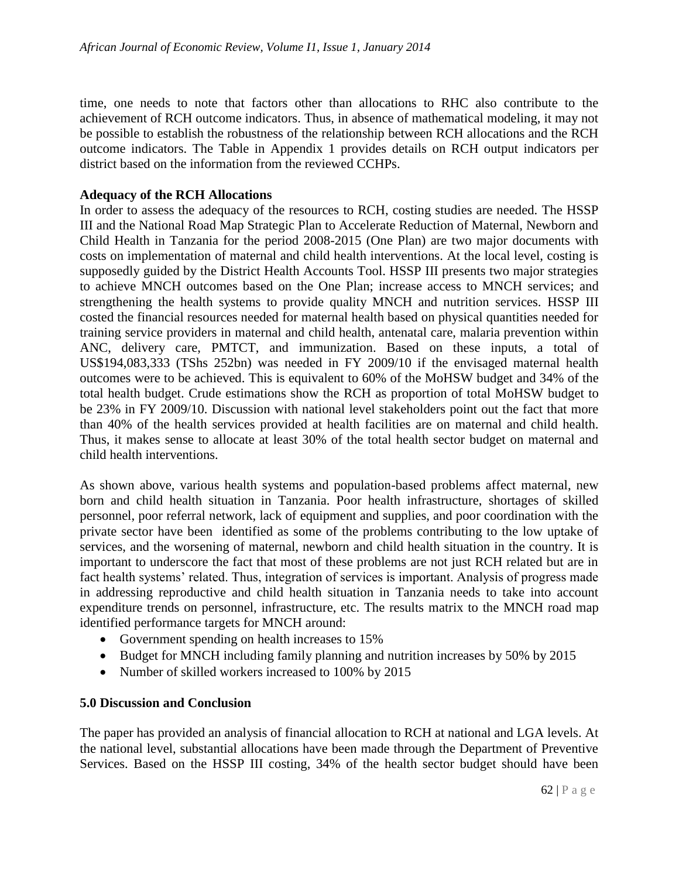time, one needs to note that factors other than allocations to RHC also contribute to the achievement of RCH outcome indicators. Thus, in absence of mathematical modeling, it may not be possible to establish the robustness of the relationship between RCH allocations and the RCH outcome indicators. The Table in Appendix 1 provides details on RCH output indicators per district based on the information from the reviewed CCHPs.

#### **Adequacy of the RCH Allocations**

In order to assess the adequacy of the resources to RCH, costing studies are needed. The HSSP III and the National Road Map Strategic Plan to Accelerate Reduction of Maternal, Newborn and Child Health in Tanzania for the period 2008-2015 (One Plan) are two major documents with costs on implementation of maternal and child health interventions. At the local level, costing is supposedly guided by the District Health Accounts Tool. HSSP III presents two major strategies to achieve MNCH outcomes based on the One Plan; increase access to MNCH services; and strengthening the health systems to provide quality MNCH and nutrition services. HSSP III costed the financial resources needed for maternal health based on physical quantities needed for training service providers in maternal and child health, antenatal care, malaria prevention within ANC, delivery care, PMTCT, and immunization. Based on these inputs, a total of US\$194,083,333 (TShs 252bn) was needed in FY 2009/10 if the envisaged maternal health outcomes were to be achieved. This is equivalent to 60% of the MoHSW budget and 34% of the total health budget. Crude estimations show the RCH as proportion of total MoHSW budget to be 23% in FY 2009/10. Discussion with national level stakeholders point out the fact that more than 40% of the health services provided at health facilities are on maternal and child health. Thus, it makes sense to allocate at least 30% of the total health sector budget on maternal and child health interventions.

As shown above, various health systems and population-based problems affect maternal, new born and child health situation in Tanzania. Poor health infrastructure, shortages of skilled personnel, poor referral network, lack of equipment and supplies, and poor coordination with the private sector have been identified as some of the problems contributing to the low uptake of services, and the worsening of maternal, newborn and child health situation in the country. It is important to underscore the fact that most of these problems are not just RCH related but are in fact health systems' related. Thus, integration of services is important. Analysis of progress made in addressing reproductive and child health situation in Tanzania needs to take into account expenditure trends on personnel, infrastructure, etc. The results matrix to the MNCH road map identified performance targets for MNCH around:

- Government spending on health increases to 15%
- Budget for MNCH including family planning and nutrition increases by 50% by 2015
- Number of skilled workers increased to 100% by 2015

#### **5.0 Discussion and Conclusion**

The paper has provided an analysis of financial allocation to RCH at national and LGA levels. At the national level, substantial allocations have been made through the Department of Preventive Services. Based on the HSSP III costing, 34% of the health sector budget should have been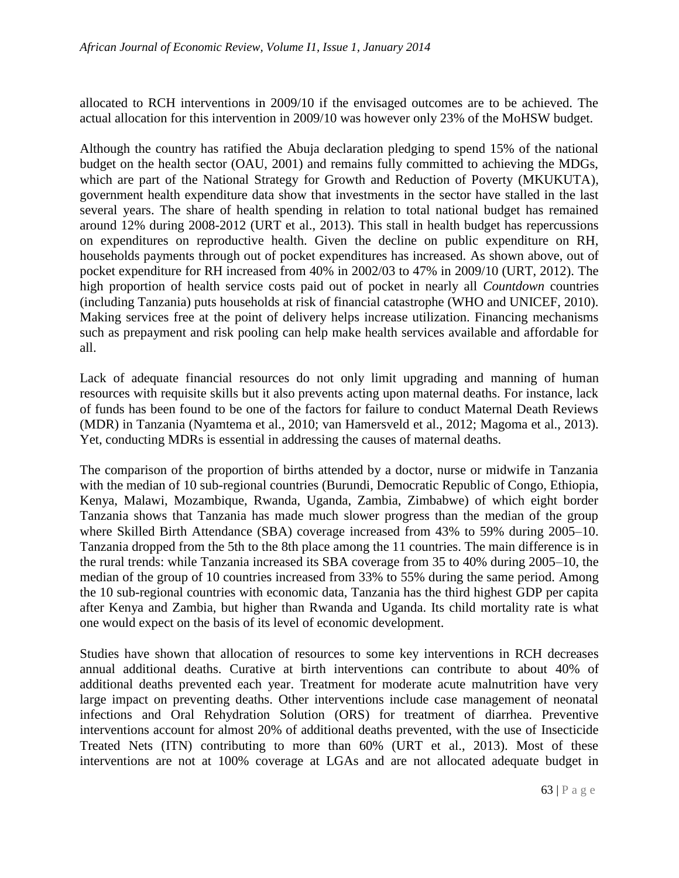allocated to RCH interventions in 2009/10 if the envisaged outcomes are to be achieved. The actual allocation for this intervention in 2009/10 was however only 23% of the MoHSW budget.

Although the country has ratified the Abuja declaration pledging to spend 15% of the national budget on the health sector (OAU, 2001) and remains fully committed to achieving the MDGs, which are part of the National Strategy for Growth and Reduction of Poverty (MKUKUTA), government health expenditure data show that investments in the sector have stalled in the last several years. The share of health spending in relation to total national budget has remained around 12% during 2008-2012 (URT et al., 2013). This stall in health budget has repercussions on expenditures on reproductive health. Given the decline on public expenditure on RH, households payments through out of pocket expenditures has increased. As shown above, out of pocket expenditure for RH increased from 40% in 2002/03 to 47% in 2009/10 (URT, 2012). The high proportion of health service costs paid out of pocket in nearly all *Countdown* countries (including Tanzania) puts households at risk of financial catastrophe (WHO and UNICEF, 2010). Making services free at the point of delivery helps increase utilization. Financing mechanisms such as prepayment and risk pooling can help make health services available and affordable for all.

Lack of adequate financial resources do not only limit upgrading and manning of human resources with requisite skills but it also prevents acting upon maternal deaths. For instance, lack of funds has been found to be one of the factors for failure to conduct Maternal Death Reviews (MDR) in Tanzania (Nyamtema et al., 2010; van Hamersveld et al., 2012; Magoma et al., 2013). Yet, conducting MDRs is essential in addressing the causes of maternal deaths.

The comparison of the proportion of births attended by a doctor, nurse or midwife in Tanzania with the median of 10 sub-regional countries (Burundi, Democratic Republic of Congo, Ethiopia, Kenya, Malawi, Mozambique, Rwanda, Uganda, Zambia, Zimbabwe) of which eight border Tanzania shows that Tanzania has made much slower progress than the median of the group where Skilled Birth Attendance (SBA) coverage increased from 43% to 59% during 2005–10. Tanzania dropped from the 5th to the 8th place among the 11 countries. The main difference is in the rural trends: while Tanzania increased its SBA coverage from 35 to 40% during 2005–10, the median of the group of 10 countries increased from 33% to 55% during the same period. Among the 10 sub-regional countries with economic data, Tanzania has the third highest GDP per capita after Kenya and Zambia, but higher than Rwanda and Uganda. Its child mortality rate is what one would expect on the basis of its level of economic development.

Studies have shown that allocation of resources to some key interventions in RCH decreases annual additional deaths. Curative at birth interventions can contribute to about 40% of additional deaths prevented each year. Treatment for moderate acute malnutrition have very large impact on preventing deaths. Other interventions include case management of neonatal infections and Oral Rehydration Solution (ORS) for treatment of diarrhea. Preventive interventions account for almost 20% of additional deaths prevented, with the use of Insecticide Treated Nets (ITN) contributing to more than 60% (URT et al., 2013). Most of these interventions are not at 100% coverage at LGAs and are not allocated adequate budget in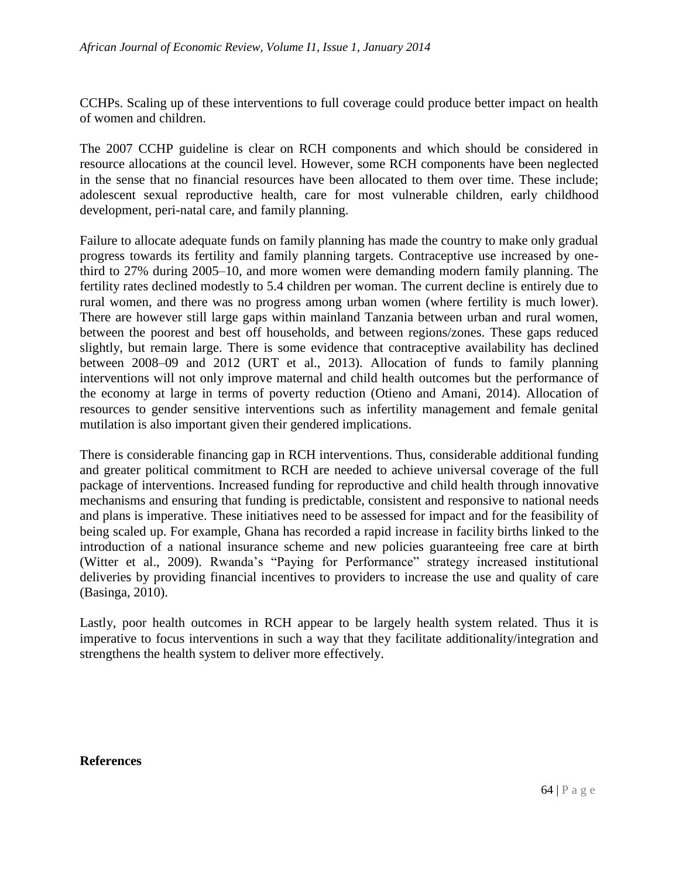CCHPs. Scaling up of these interventions to full coverage could produce better impact on health of women and children.

The 2007 CCHP guideline is clear on RCH components and which should be considered in resource allocations at the council level. However, some RCH components have been neglected in the sense that no financial resources have been allocated to them over time. These include; adolescent sexual reproductive health, care for most vulnerable children, early childhood development, peri-natal care, and family planning.

Failure to allocate adequate funds on family planning has made the country to make only gradual progress towards its fertility and family planning targets. Contraceptive use increased by onethird to 27% during 2005–10, and more women were demanding modern family planning. The fertility rates declined modestly to 5.4 children per woman. The current decline is entirely due to rural women, and there was no progress among urban women (where fertility is much lower). There are however still large gaps within mainland Tanzania between urban and rural women, between the poorest and best off households, and between regions/zones. These gaps reduced slightly, but remain large. There is some evidence that contraceptive availability has declined between 2008–09 and 2012 (URT et al., 2013). Allocation of funds to family planning interventions will not only improve maternal and child health outcomes but the performance of the economy at large in terms of poverty reduction (Otieno and Amani, 2014). Allocation of resources to gender sensitive interventions such as infertility management and female genital mutilation is also important given their gendered implications.

There is considerable financing gap in RCH interventions. Thus, considerable additional funding and greater political commitment to RCH are needed to achieve universal coverage of the full package of interventions. Increased funding for reproductive and child health through innovative mechanisms and ensuring that funding is predictable, consistent and responsive to national needs and plans is imperative. These initiatives need to be assessed for impact and for the feasibility of being scaled up. For example, Ghana has recorded a rapid increase in facility births linked to the introduction of a national insurance scheme and new policies guaranteeing free care at birth (Witter et al., 2009). Rwanda's "Paying for Performance" strategy increased institutional deliveries by providing financial incentives to providers to increase the use and quality of care (Basinga, 2010).

Lastly, poor health outcomes in RCH appear to be largely health system related. Thus it is imperative to focus interventions in such a way that they facilitate additionality/integration and strengthens the health system to deliver more effectively.

#### **References**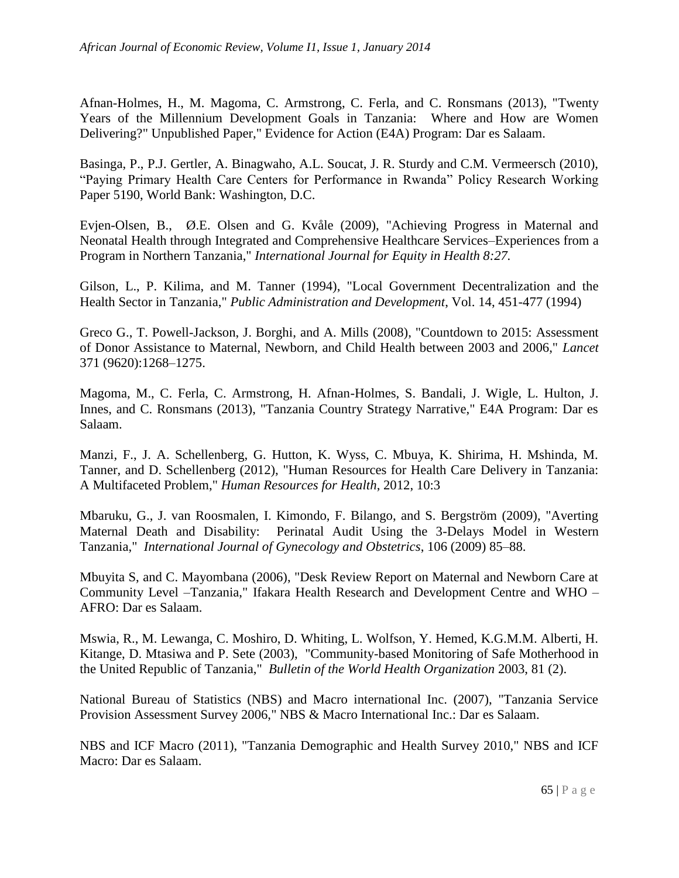Afnan-Holmes, H., M. Magoma, C. Armstrong, C. Ferla, and C. Ronsmans (2013), "Twenty Years of the Millennium Development Goals in Tanzania: Where and How are Women Delivering?" Unpublished Paper," Evidence for Action (E4A) Program: Dar es Salaam.

Basinga, P., P.J. Gertler, A. Binagwaho, A.L. Soucat, J. R. Sturdy and C.M. Vermeersch (2010), "Paying Primary Health Care Centers for Performance in Rwanda" Policy Research Working Paper 5190, World Bank: Washington, D.C.

Evjen-Olsen, B., Ø.E. Olsen and G. Kvåle (2009), "Achieving Progress in Maternal and Neonatal Health through Integrated and Comprehensive Healthcare Services–Experiences from a Program in Northern Tanzania," *International Journal for Equity in Health 8:27.*

Gilson, L., P. Kilima, and M. Tanner (1994), "Local Government Decentralization and the Health Sector in Tanzania," *Public Administration and Development*, Vol. 14, 451-477 (1994)

Greco G., T. Powell-Jackson, J. Borghi, and A. Mills (2008), "Countdown to 2015: Assessment of Donor Assistance to Maternal, Newborn, and Child Health between 2003 and 2006," *Lancet*  371 (9620):1268–1275.

Magoma, M., C. Ferla, C. Armstrong, H. Afnan-Holmes, S. Bandali, J. Wigle, L. Hulton, J. Innes, and C. Ronsmans (2013), "Tanzania Country Strategy Narrative," E4A Program: Dar es Salaam.

Manzi, F., J. A. Schellenberg, G. Hutton, K. Wyss, C. Mbuya, K. Shirima, H. Mshinda, M. Tanner, and D. Schellenberg (2012), "Human Resources for Health Care Delivery in Tanzania: A Multifaceted Problem," *Human Resources for Health*, 2012, 10:3

Mbaruku, G., J. van Roosmalen, I. Kimondo, F. Bilango, and S. Bergström (2009), "Averting Maternal Death and Disability: Perinatal Audit Using the 3-Delays Model in Western Tanzania," *International Journal of Gynecology and Obstetrics*, 106 (2009) 85–88.

Mbuyita S, and C. Mayombana (2006), "Desk Review Report on Maternal and Newborn Care at Community Level –Tanzania," Ifakara Health Research and Development Centre and WHO – AFRO: Dar es Salaam.

Mswia, R., M. Lewanga, C. Moshiro, D. Whiting, L. Wolfson, Y. Hemed, K.G.M.M. Alberti, H. Kitange, D. Mtasiwa and P. Sete (2003), "Community-based Monitoring of Safe Motherhood in the United Republic of Tanzania," *Bulletin of the World Health Organization* 2003, 81 (2).

National Bureau of Statistics (NBS) and Macro international Inc. (2007), "Tanzania Service Provision Assessment Survey 2006," NBS & Macro International Inc.: Dar es Salaam.

NBS and ICF Macro (2011), "Tanzania Demographic and Health Survey 2010," NBS and ICF Macro: Dar es Salaam.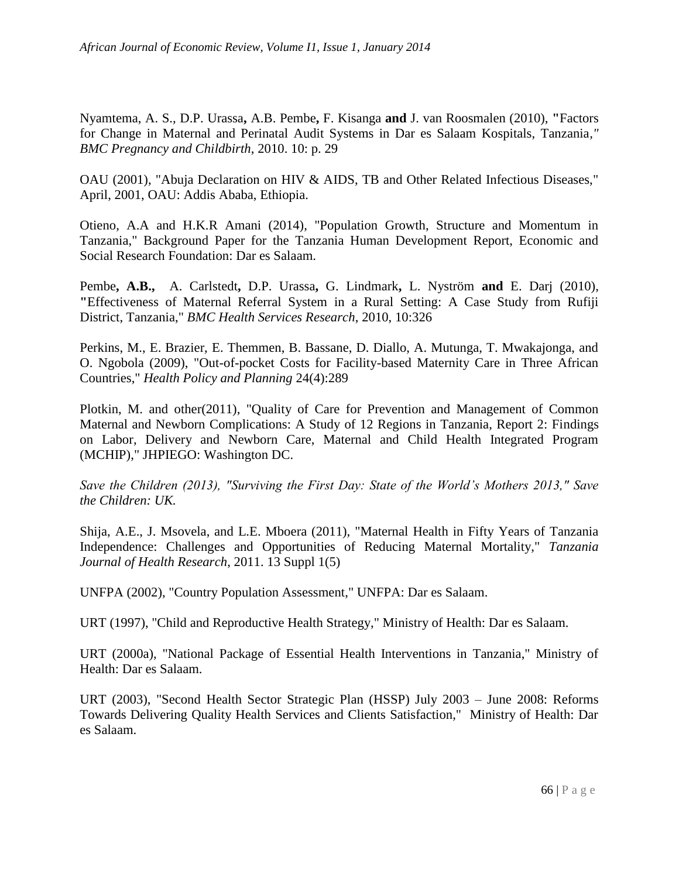Nyamtema, A. S., D.P. Urassa**,** A.B. Pembe**,** F. Kisanga **and** J. van Roosmalen (2010), **"**Factors for Change in Maternal and Perinatal Audit Systems in Dar es Salaam Kospitals, Tanzania*," BMC Pregnancy and Childbirth*, 2010. 10: p. 29

OAU (2001), "Abuja Declaration on HIV & AIDS, TB and Other Related Infectious Diseases," April, 2001, OAU: Addis Ababa, Ethiopia.

Otieno, A.A and H.K.R Amani (2014), "Population Growth, Structure and Momentum in Tanzania," Background Paper for the Tanzania Human Development Report, Economic and Social Research Foundation: Dar es Salaam.

Pembe**, A.B.,** A. Carlstedt**,** D.P. Urassa**,** G. Lindmark**,** L. Nyström **and** E. Darj (2010), **"**Effectiveness of Maternal Referral System in a Rural Setting: A Case Study from Rufiji District, Tanzania," *BMC Health Services Research*, 2010, 10:326

Perkins, M., E. Brazier, E. Themmen, B. Bassane, D. Diallo, A. Mutunga, T. Mwakajonga, and O. Ngobola (2009), "Out-of-pocket Costs for Facility-based Maternity Care in Three African Countries," *Health Policy and Planning* 24(4):289

Plotkin, M. and other(2011), "Quality of Care for Prevention and Management of Common Maternal and Newborn Complications: A Study of 12 Regions in Tanzania, Report 2: Findings on Labor, Delivery and Newborn Care, Maternal and Child Health Integrated Program (MCHIP)," JHPIEGO: Washington DC.

*Save the Children (2013), "Surviving the First Day: State of the World's Mothers 2013," Save the Children: UK.*

Shija, A.E., J. Msovela, and L.E. Mboera (2011), "Maternal Health in Fifty Years of Tanzania Independence: Challenges and Opportunities of Reducing Maternal Mortality," *Tanzania Journal of Health Research*, 2011. 13 Suppl 1(5)

UNFPA (2002), "Country Population Assessment," UNFPA: Dar es Salaam.

URT (1997), "Child and Reproductive Health Strategy," Ministry of Health: Dar es Salaam.

URT (2000a), "National Package of Essential Health Interventions in Tanzania," Ministry of Health: Dar es Salaam.

URT (2003), "Second Health Sector Strategic Plan (HSSP) July 2003 – June 2008: Reforms Towards Delivering Quality Health Services and Clients Satisfaction," Ministry of Health: Dar es Salaam.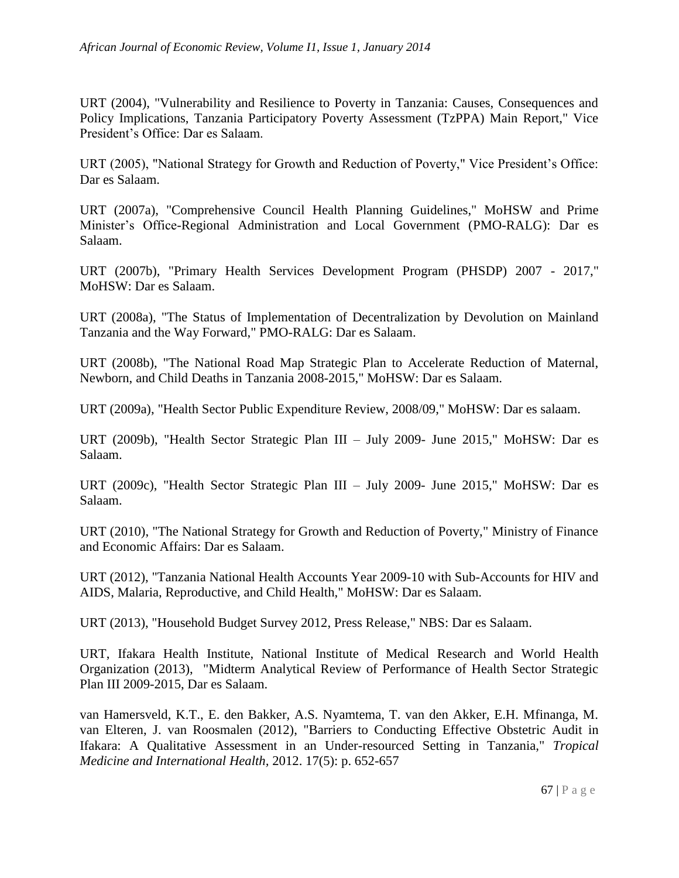URT (2004), "Vulnerability and Resilience to Poverty in Tanzania: Causes, Consequences and Policy Implications, Tanzania Participatory Poverty Assessment (TzPPA) Main Report," Vice President's Office: Dar es Salaam.

URT (2005), "National Strategy for Growth and Reduction of Poverty," Vice President's Office: Dar es Salaam.

URT (2007a), "Comprehensive Council Health Planning Guidelines," MoHSW and Prime Minister's Office-Regional Administration and Local Government (PMO-RALG): Dar es Salaam.

URT (2007b), "Primary Health Services Development Program (PHSDP) 2007 - 2017," MoHSW: Dar es Salaam.

URT (2008a), "The Status of Implementation of Decentralization by Devolution on Mainland Tanzania and the Way Forward," PMO-RALG: Dar es Salaam.

URT (2008b), "The National Road Map Strategic Plan to Accelerate Reduction of Maternal, Newborn, and Child Deaths in Tanzania 2008-2015," MoHSW: Dar es Salaam.

URT (2009a), "Health Sector Public Expenditure Review, 2008/09," MoHSW: Dar es salaam.

URT (2009b), "Health Sector Strategic Plan III – July 2009- June 2015," MoHSW: Dar es Salaam.

URT (2009c), "Health Sector Strategic Plan III – July 2009- June 2015," MoHSW: Dar es Salaam.

URT (2010), "The National Strategy for Growth and Reduction of Poverty," Ministry of Finance and Economic Affairs: Dar es Salaam.

URT (2012), "Tanzania National Health Accounts Year 2009-10 with Sub-Accounts for HIV and AIDS, Malaria, Reproductive, and Child Health," MoHSW: Dar es Salaam.

URT (2013), "Household Budget Survey 2012, Press Release," NBS: Dar es Salaam.

URT, Ifakara Health Institute, National Institute of Medical Research and World Health Organization (2013), "Midterm Analytical Review of Performance of Health Sector Strategic Plan III 2009-2015, Dar es Salaam.

van Hamersveld, K.T., E. den Bakker, A.S. Nyamtema, T. van den Akker, E.H. Mfinanga, M. van Elteren, J. van Roosmalen (2012), "Barriers to Conducting Effective Obstetric Audit in Ifakara: A Qualitative Assessment in an Under-resourced Setting in Tanzania," *Tropical Medicine and International Health,* 2012. 17(5): p. 652-657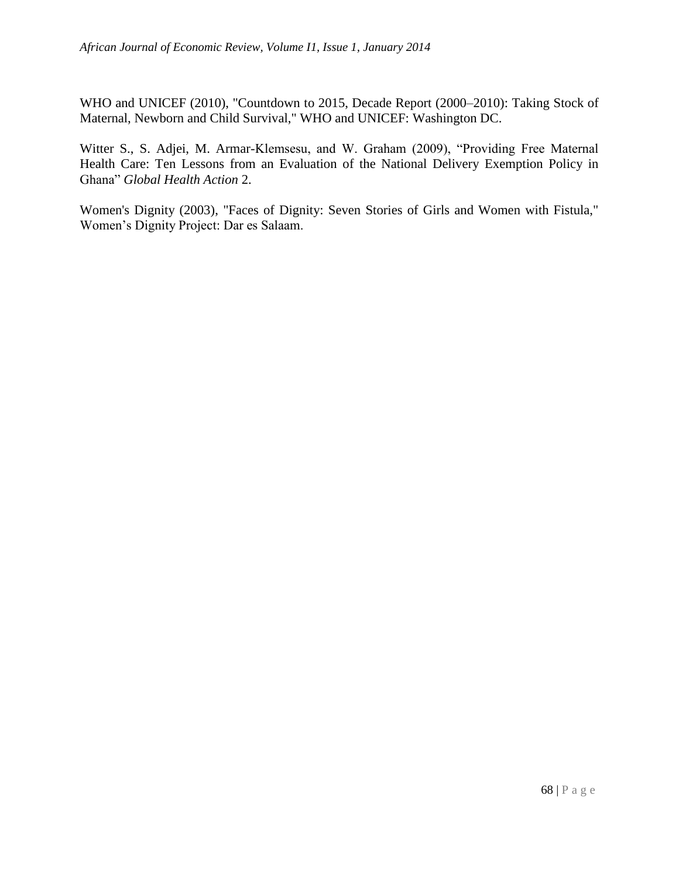WHO and UNICEF (2010), "Countdown to 2015, Decade Report (2000–2010): Taking Stock of Maternal, Newborn and Child Survival," WHO and UNICEF: Washington DC.

Witter S., S. Adjei, M. Armar-Klemsesu, and W. Graham (2009), "Providing Free Maternal Health Care: Ten Lessons from an Evaluation of the National Delivery Exemption Policy in Ghana‖ *Global Health Action* 2.

Women's Dignity (2003), "Faces of Dignity: Seven Stories of Girls and Women with Fistula," Women's Dignity Project: Dar es Salaam.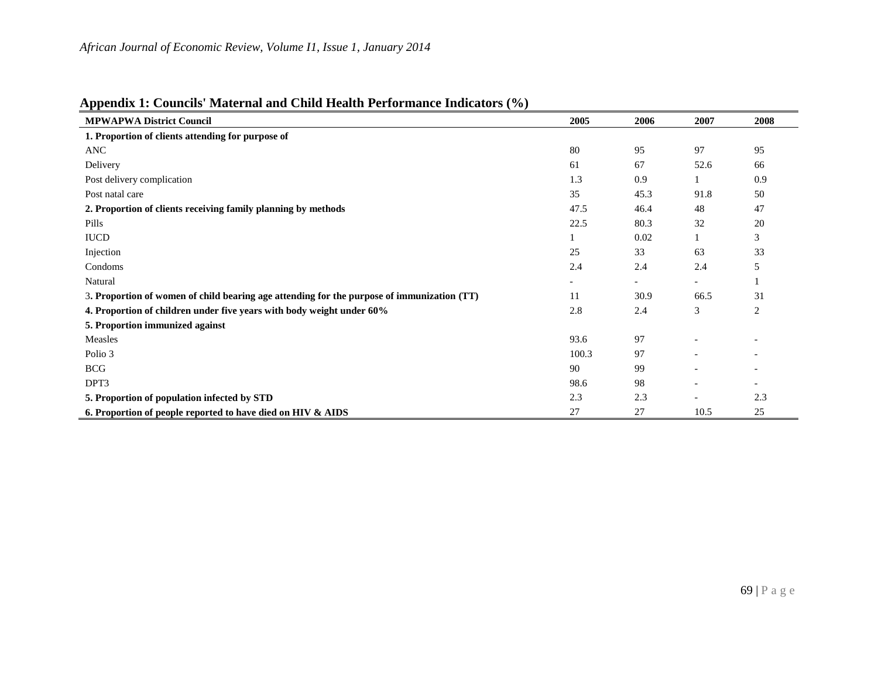| <b>MPWAPWA District Council</b>                                                            | 2005  | 2006 | 2007 | 2008 |
|--------------------------------------------------------------------------------------------|-------|------|------|------|
| 1. Proportion of clients attending for purpose of                                          |       |      |      |      |
| ANC                                                                                        | 80    | 95   | 97   | 95   |
| Delivery                                                                                   | 61    | 67   | 52.6 | 66   |
| Post delivery complication                                                                 | 1.3   | 0.9  |      | 0.9  |
| Post natal care                                                                            | 35    | 45.3 | 91.8 | 50   |
| 2. Proportion of clients receiving family planning by methods                              | 47.5  | 46.4 | 48   | 47   |
| Pills                                                                                      | 22.5  | 80.3 | 32   | 20   |
| <b>IUCD</b>                                                                                |       | 0.02 |      | 3    |
| Injection                                                                                  | 25    | 33   | 63   | 33   |
| Condoms                                                                                    | 2.4   | 2.4  | 2.4  | 5    |
| Natural                                                                                    |       |      |      |      |
| 3. Proportion of women of child bearing age attending for the purpose of immunization (TT) | 11    | 30.9 | 66.5 | 31   |
| 4. Proportion of children under five years with body weight under 60%                      | 2.8   | 2.4  | 3    | 2    |
| 5. Proportion immunized against                                                            |       |      |      |      |
| Measles                                                                                    | 93.6  | 97   |      |      |
| Polio 3                                                                                    | 100.3 | 97   |      |      |
| <b>BCG</b>                                                                                 | 90    | 99   |      |      |
| DPT3                                                                                       | 98.6  | 98   |      |      |
| 5. Proportion of population infected by STD                                                | 2.3   | 2.3  |      | 2.3  |
| 6. Proportion of people reported to have died on HIV & AIDS                                | 27    | 27   | 10.5 | 25   |

**Appendix 1: Councils' Maternal and Child Health Performance Indicators (%)**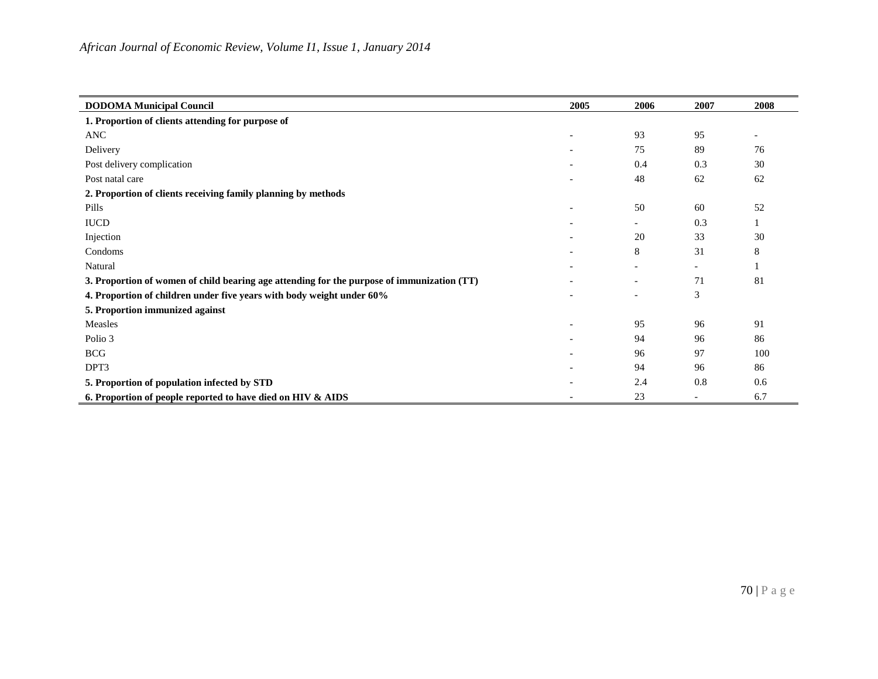| <b>DODOMA Municipal Council</b>                                                            | 2005 | 2006                     | 2007                     | 2008                     |
|--------------------------------------------------------------------------------------------|------|--------------------------|--------------------------|--------------------------|
| 1. Proportion of clients attending for purpose of                                          |      |                          |                          |                          |
| ANC                                                                                        |      | 93                       | 95                       | $\overline{\phantom{0}}$ |
| Delivery                                                                                   |      | 75                       | 89                       | 76                       |
| Post delivery complication                                                                 |      | 0.4                      | 0.3                      | 30                       |
| Post natal care                                                                            |      | 48                       | 62                       | 62                       |
| 2. Proportion of clients receiving family planning by methods                              |      |                          |                          |                          |
| Pills                                                                                      |      | 50                       | 60                       | 52                       |
| <b>IUCD</b>                                                                                |      | $\overline{\phantom{0}}$ | 0.3                      |                          |
| Injection                                                                                  |      | 20                       | 33                       | 30                       |
| Condoms                                                                                    |      | 8                        | 31                       | 8                        |
| Natural                                                                                    |      |                          |                          |                          |
| 3. Proportion of women of child bearing age attending for the purpose of immunization (TT) |      |                          | 71                       | 81                       |
| 4. Proportion of children under five years with body weight under 60%                      |      |                          | 3                        |                          |
| 5. Proportion immunized against                                                            |      |                          |                          |                          |
| Measles                                                                                    |      | 95                       | 96                       | 91                       |
| Polio 3                                                                                    |      | 94                       | 96                       | 86                       |
| <b>BCG</b>                                                                                 |      | 96                       | 97                       | 100                      |
| DPT3                                                                                       |      | 94                       | 96                       | 86                       |
| 5. Proportion of population infected by STD                                                |      | 2.4                      | 0.8                      | 0.6                      |
| 6. Proportion of people reported to have died on HIV & AIDS                                |      | 23                       | $\overline{\phantom{a}}$ | 6.7                      |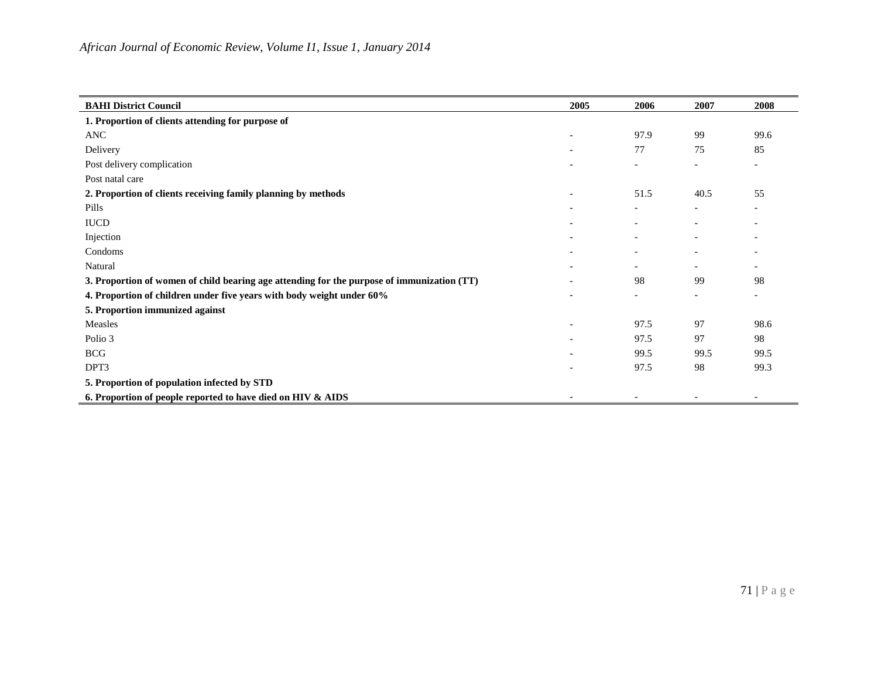| <b>BAHI District Council</b>                                                               | 2005 | 2006                     | 2007                         | 2008                     |
|--------------------------------------------------------------------------------------------|------|--------------------------|------------------------------|--------------------------|
| 1. Proportion of clients attending for purpose of                                          |      |                          |                              |                          |
| ANC                                                                                        |      | 97.9                     | 99                           | 99.6                     |
| Delivery                                                                                   |      | 77                       | 75                           | 85                       |
| Post delivery complication                                                                 |      |                          | $\overline{\phantom{a}}$     | ۰                        |
| Post natal care                                                                            |      |                          |                              |                          |
| 2. Proportion of clients receiving family planning by methods                              |      | 51.5                     | 40.5                         | 55                       |
| Pills                                                                                      |      |                          |                              | $\overline{\phantom{0}}$ |
| <b>IUCD</b>                                                                                |      | $\overline{\phantom{a}}$ |                              |                          |
| Injection                                                                                  |      | $\overline{\phantom{a}}$ | $\qquad \qquad \blacksquare$ | $\overline{\phantom{a}}$ |
| Condoms                                                                                    |      |                          |                              |                          |
| Natural                                                                                    |      | $\overline{\phantom{0}}$ | -                            | $\overline{\phantom{a}}$ |
| 3. Proportion of women of child bearing age attending for the purpose of immunization (TT) |      | 98                       | 99                           | 98                       |
| 4. Proportion of children under five years with body weight under 60%                      |      |                          | $\overline{\phantom{0}}$     | $\overline{\phantom{a}}$ |
| 5. Proportion immunized against                                                            |      |                          |                              |                          |
| Measles                                                                                    |      | 97.5                     | 97                           | 98.6                     |
| Polio 3                                                                                    |      | 97.5                     | 97                           | 98                       |
| <b>BCG</b>                                                                                 |      | 99.5                     | 99.5                         | 99.5                     |
| DPT3                                                                                       |      | 97.5                     | 98                           | 99.3                     |
| 5. Proportion of population infected by STD                                                |      |                          |                              |                          |
| 6. Proportion of people reported to have died on HIV & AIDS                                |      |                          |                              |                          |